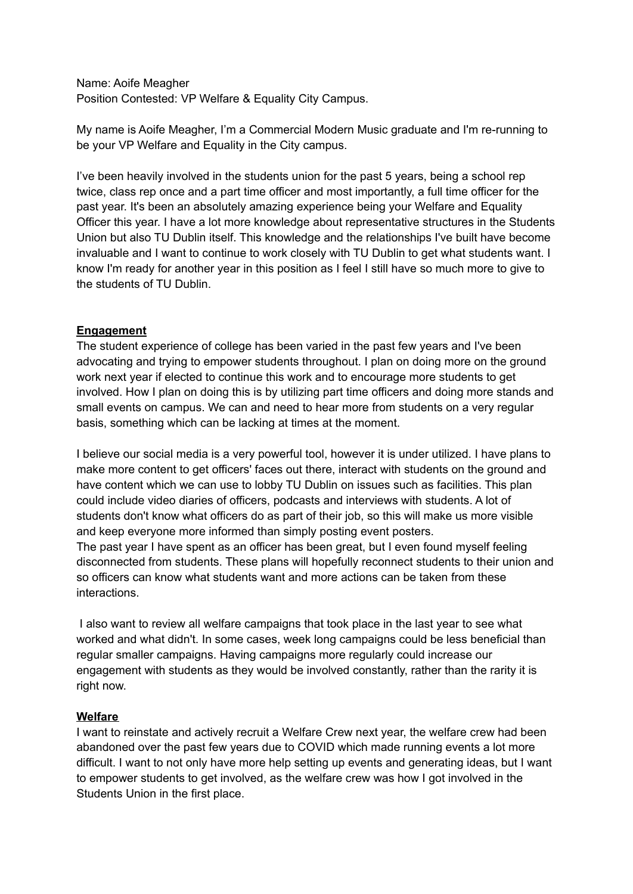Name: Aoife Meagher Position Contested: VP Welfare & Equality City Campus.

My name is Aoife Meagher, I'm a Commercial Modern Music graduate and I'm re-running to be your VP Welfare and Equality in the City campus.

I've been heavily involved in the students union for the past 5 years, being a school rep twice, class rep once and a part time officer and most importantly, a full time officer for the past year. It's been an absolutely amazing experience being your Welfare and Equality Officer this year. I have a lot more knowledge about representative structures in the Students Union but also TU Dublin itself. This knowledge and the relationships I've built have become invaluable and I want to continue to work closely with TU Dublin to get what students want. I know I'm ready for another year in this position as I feel I still have so much more to give to the students of TU Dublin.

## **Engagement**

The student experience of college has been varied in the past few years and I've been advocating and trying to empower students throughout. I plan on doing more on the ground work next year if elected to continue this work and to encourage more students to get involved. How I plan on doing this is by utilizing part time officers and doing more stands and small events on campus. We can and need to hear more from students on a very regular basis, something which can be lacking at times at the moment.

I believe our social media is a very powerful tool, however it is under utilized. I have plans to make more content to get officers' faces out there, interact with students on the ground and have content which we can use to lobby TU Dublin on issues such as facilities. This plan could include video diaries of officers, podcasts and interviews with students. A lot of students don't know what officers do as part of their job, so this will make us more visible and keep everyone more informed than simply posting event posters.

The past year I have spent as an officer has been great, but I even found myself feeling disconnected from students. These plans will hopefully reconnect students to their union and so officers can know what students want and more actions can be taken from these interactions.

I also want to review all welfare campaigns that took place in the last year to see what worked and what didn't. In some cases, week long campaigns could be less beneficial than regular smaller campaigns. Having campaigns more regularly could increase our engagement with students as they would be involved constantly, rather than the rarity it is right now.

## **Welfare**

I want to reinstate and actively recruit a Welfare Crew next year, the welfare crew had been abandoned over the past few years due to COVID which made running events a lot more difficult. I want to not only have more help setting up events and generating ideas, but I want to empower students to get involved, as the welfare crew was how I got involved in the Students Union in the first place.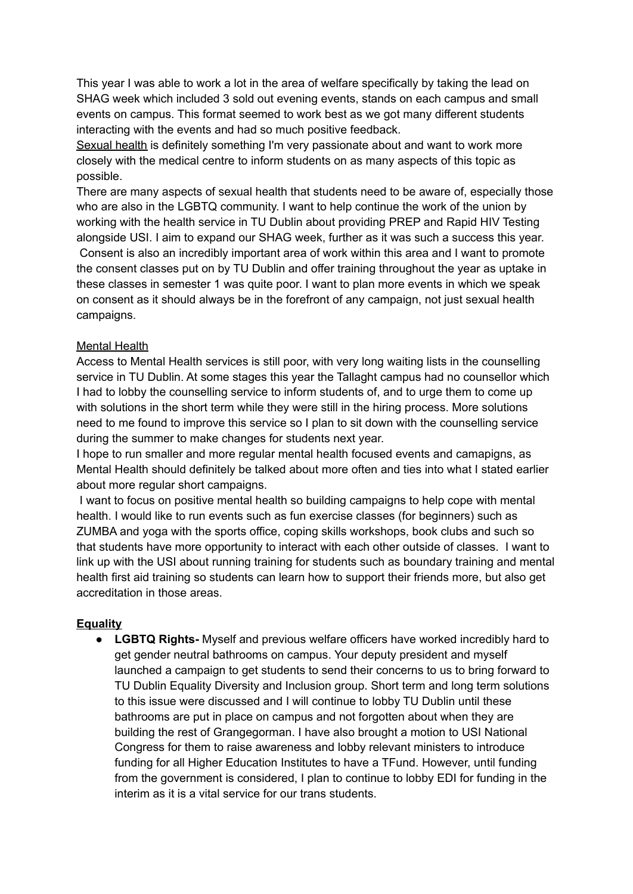This year I was able to work a lot in the area of welfare specifically by taking the lead on SHAG week which included 3 sold out evening events, stands on each campus and small events on campus. This format seemed to work best as we got many different students interacting with the events and had so much positive feedback.

Sexual health is definitely something I'm very passionate about and want to work more closely with the medical centre to inform students on as many aspects of this topic as possible.

There are many aspects of sexual health that students need to be aware of, especially those who are also in the LGBTQ community. I want to help continue the work of the union by working with the health service in TU Dublin about providing PREP and Rapid HIV Testing alongside USI. I aim to expand our SHAG week, further as it was such a success this year. Consent is also an incredibly important area of work within this area and I want to promote the consent classes put on by TU Dublin and offer training throughout the year as uptake in these classes in semester 1 was quite poor. I want to plan more events in which we speak on consent as it should always be in the forefront of any campaign, not just sexual health campaigns.

## Mental Health

Access to Mental Health services is still poor, with very long waiting lists in the counselling service in TU Dublin. At some stages this year the Tallaght campus had no counsellor which I had to lobby the counselling service to inform students of, and to urge them to come up with solutions in the short term while they were still in the hiring process. More solutions need to me found to improve this service so I plan to sit down with the counselling service during the summer to make changes for students next year.

I hope to run smaller and more regular mental health focused events and camapigns, as Mental Health should definitely be talked about more often and ties into what I stated earlier about more regular short campaigns.

I want to focus on positive mental health so building campaigns to help cope with mental health. I would like to run events such as fun exercise classes (for beginners) such as ZUMBA and yoga with the sports office, coping skills workshops, book clubs and such so that students have more opportunity to interact with each other outside of classes. I want to link up with the USI about running training for students such as boundary training and mental health first aid training so students can learn how to support their friends more, but also get accreditation in those areas.

## **Equality**

**● LGBTQ Rights-** Myself and previous welfare officers have worked incredibly hard to get gender neutral bathrooms on campus. Your deputy president and myself launched a campaign to get students to send their concerns to us to bring forward to TU Dublin Equality Diversity and Inclusion group. Short term and long term solutions to this issue were discussed and I will continue to lobby TU Dublin until these bathrooms are put in place on campus and not forgotten about when they are building the rest of Grangegorman. I have also brought a motion to USI National Congress for them to raise awareness and lobby relevant ministers to introduce funding for all Higher Education Institutes to have a TFund. However, until funding from the government is considered, I plan to continue to lobby EDI for funding in the interim as it is a vital service for our trans students.